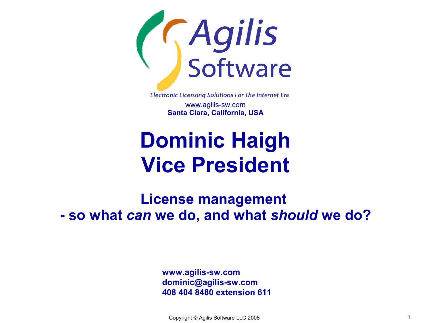

**Electronic Licensing Solutions For The Internet Era** 

www.agilis-sw.com **Santa Clara, California, USA**

### **Dominic Haigh Vice President**

**License management - so what** *can* **we do, and what** *should* **we do?**

> **www.agilis-sw.com dominic@agilis-sw.com 408 404 8480 extension 611**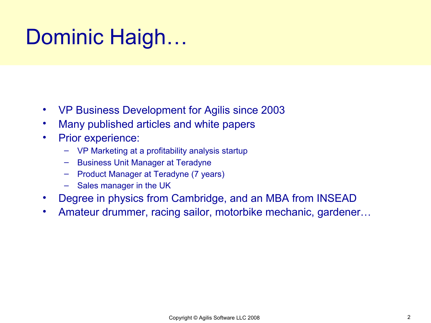### Dominic Haigh…

- VP Business Development for Agilis since 2003
- Many published articles and white papers
- Prior experience:
	- VP Marketing at a profitability analysis startup
	- Business Unit Manager at Teradyne
	- Product Manager at Teradyne (7 years)
	- Sales manager in the UK
- Degree in physics from Cambridge, and an MBA from INSEAD
- Amateur drummer, racing sailor, motorbike mechanic, gardener…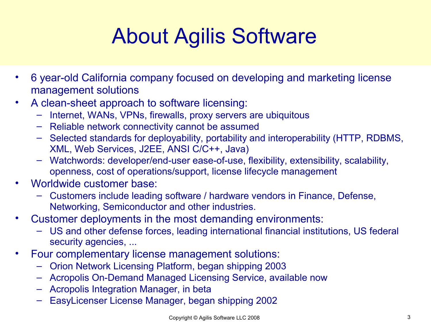# About Agilis Software

- 6 year-old California company focused on developing and marketing license management solutions
- A clean-sheet approach to software licensing:
	- Internet, WANs, VPNs, firewalls, proxy servers are ubiquitous
	- Reliable network connectivity cannot be assumed
	- Selected standards for deployability, portability and interoperability (HTTP, RDBMS, XML, Web Services, J2EE, ANSI C/C++, Java)
	- Watchwords: developer/end-user ease-of-use, flexibility, extensibility, scalability, openness, cost of operations/support, license lifecycle management
- Worldwide customer base:
	- Customers include leading software / hardware vendors in Finance, Defense, Networking, Semiconductor and other industries.
- Customer deployments in the most demanding environments:
	- US and other defense forces, leading international financial institutions, US federal security agencies, ...
- Four complementary license management solutions:
	- Orion Network Licensing Platform, began shipping 2003
	- Acropolis On-Demand Managed Licensing Service, available now
	- Acropolis Integration Manager, in beta
	- EasyLicenser License Manager, began shipping 2002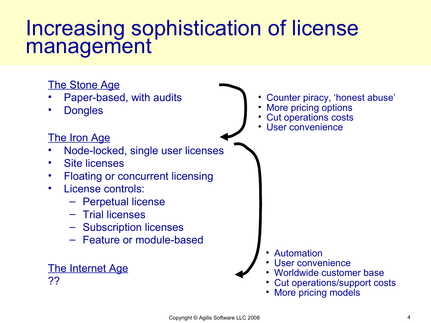### Increasing sophistication of license management

#### The Stone Age • Paper-based, with audits **Dongles** The Iron Age • Node-locked, single user licenses • Site licenses • Floating or concurrent licensing • License controls: – Perpetual license – Trial licenses – Subscription licenses – Feature or module-based • Counter piracy, 'honest abuse' More pricing options • Cut operations costs User convenience The Internet Age ?? • Automation • User convenience • Worldwide customer base • Cut operations/support costs • More pricing models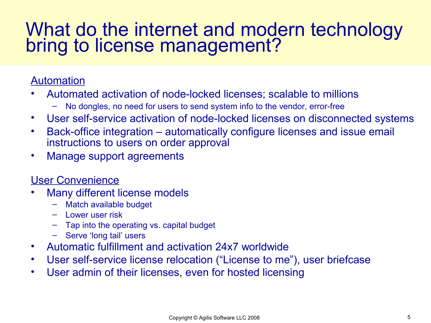#### What do the internet and modern technology bring to license management?

#### Automation

- Automated activation of node-locked licenses; scalable to millions
	- No dongles, no need for users to send system info to the vendor, error-free
- User self-service activation of node-locked licenses on disconnected systems
- Back-office integration automatically configure licenses and issue email instructions to users on order approval
- Manage support agreements

#### User Convenience

- Many different license models
	- Match available budget
	- Lower user risk
	- Tap into the operating vs. capital budget
	- Serve 'long tail' users
- Automatic fulfillment and activation 24x7 worldwide
- User self-service license relocation ("License to me"), user briefcase
- User admin of their licenses, even for hosted licensing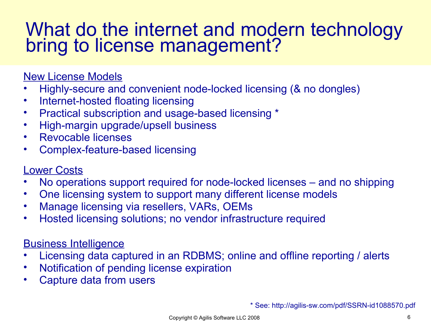#### What do the internet and modern technology bring to license management?

#### New License Models

- Highly-secure and convenient node-locked licensing (& no dongles)
- Internet-hosted floating licensing
- Practical subscription and usage-based licensing \*
- High-margin upgrade/upsell business
- Revocable licenses
- Complex-feature-based licensing

#### Lower Costs

- No operations support required for node-locked licenses and no shipping
- One licensing system to support many different license models
- Manage licensing via resellers, VARs, OEMs
- Hosted licensing solutions; no vendor infrastructure required

#### Business Intelligence

- Licensing data captured in an RDBMS; online and offline reporting / alerts
- Notification of pending license expiration
- Capture data from users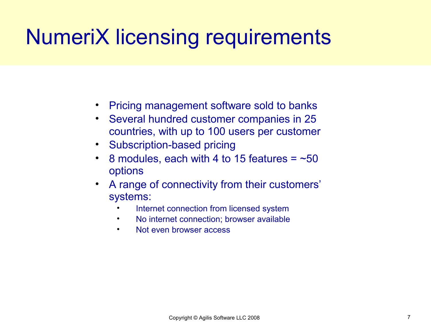# NumeriX licensing requirements

- Pricing management software sold to banks
- Several hundred customer companies in 25 countries, with up to 100 users per customer
- Subscription-based pricing
- 8 modules, each with 4 to 15 features  $=$  ~50 options
- A range of connectivity from their customers' systems:
	- Internet connection from licensed system
	- No internet connection; browser available
	- Not even browser access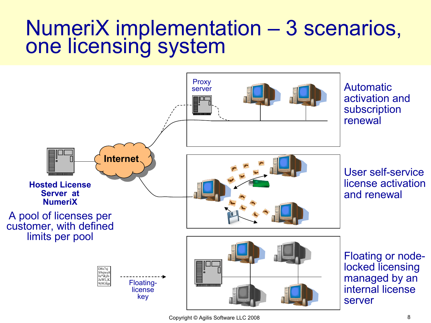### NumeriX implementation – 3 scenarios, one licensing system

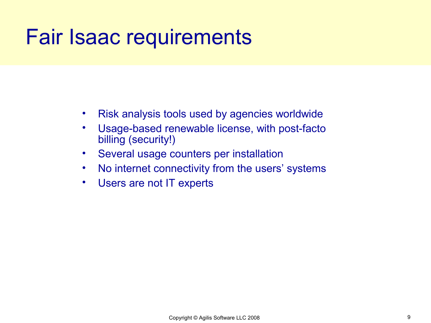### Fair Isaac requirements

- Risk analysis tools used by agencies worldwide
- Usage-based renewable license, with post-facto billing (security!)
- Several usage counters per installation
- No internet connectivity from the users' systems
- Users are not IT experts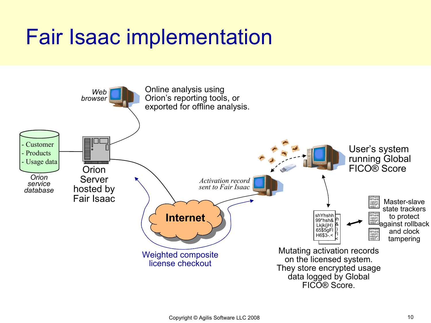# Fair Isaac implementation

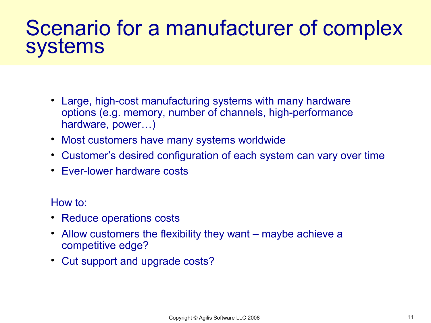### Scenario for a manufacturer of complex systems

- Large, high-cost manufacturing systems with many hardware options (e.g. memory, number of channels, high-performance hardware, power…)
- Most customers have many systems worldwide
- Customer's desired configuration of each system can vary over time
- Ever-lower hardware costs

How to:

- Reduce operations costs
- Allow customers the flexibility they want maybe achieve a competitive edge?
- Cut support and upgrade costs?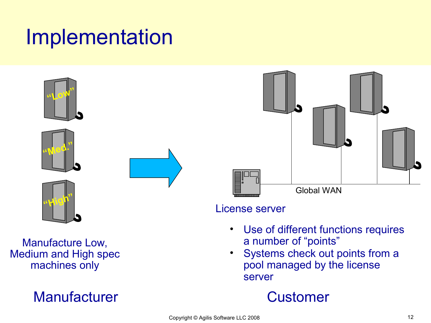### Implementation



Manufacture Low, Medium and High spec machines only

#### Manufacturer **Customer**



#### License server

- Use of different functions requires a number of "points"
- Systems check out points from a pool managed by the license server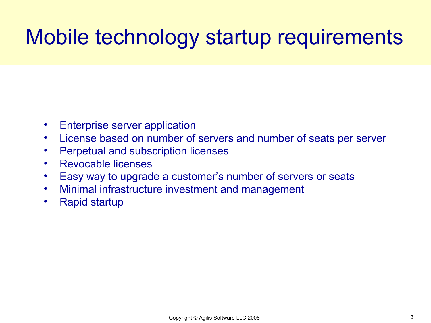# Mobile technology startup requirements

- Enterprise server application
- License based on number of servers and number of seats per server
- Perpetual and subscription licenses
- Revocable licenses
- Easy way to upgrade a customer's number of servers or seats
- Minimal infrastructure investment and management
- Rapid startup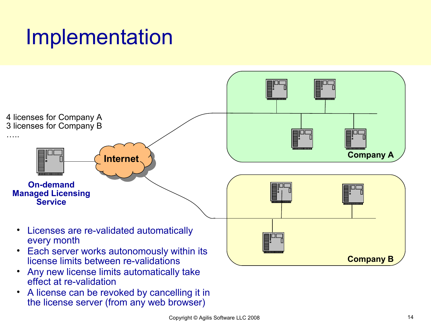### Implementation



• A license can be revoked by cancelling it in the license server (from any web browser)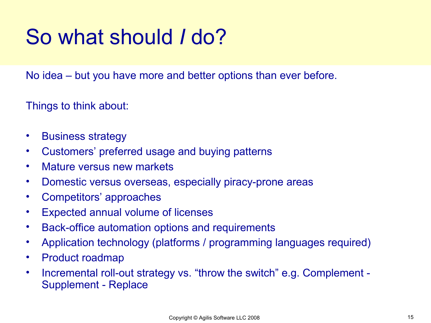# So what should *I* do?

No idea – but you have more and better options than ever before.

Things to think about:

- Business strategy
- Customers' preferred usage and buying patterns
- Mature versus new markets
- Domestic versus overseas, especially piracy-prone areas
- Competitors' approaches
- Expected annual volume of licenses
- Back-office automation options and requirements
- Application technology (platforms / programming languages required)
- Product roadmap
- Incremental roll-out strategy vs. "throw the switch" e.g. Complement Supplement - Replace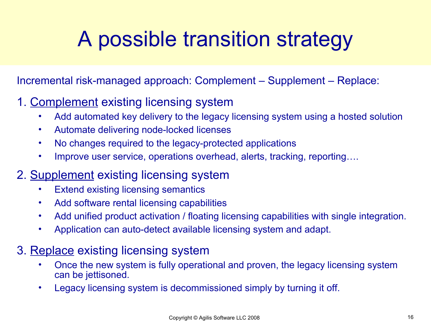# A possible transition strategy

Incremental risk-managed approach: Complement – Supplement – Replace:

#### 1. Complement existing licensing system

- Add automated key delivery to the legacy licensing system using a hosted solution
- Automate delivering node-locked licenses
- No changes required to the legacy-protected applications
- Improve user service, operations overhead, alerts, tracking, reporting....

#### 2. Supplement existing licensing system

- Extend existing licensing semantics
- Add software rental licensing capabilities
- Add unified product activation / floating licensing capabilities with single integration.
- Application can auto-detect available licensing system and adapt.

#### 3. Replace existing licensing system

- Once the new system is fully operational and proven, the legacy licensing system can be jettisoned.
- Legacy licensing system is decommissioned simply by turning it off.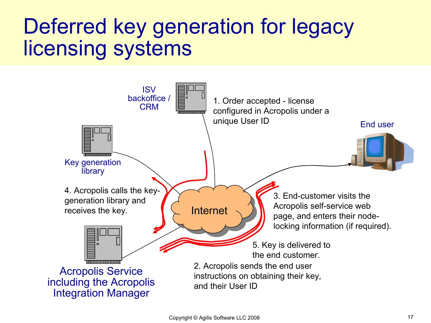### Deferred key generation for legacy licensing systems

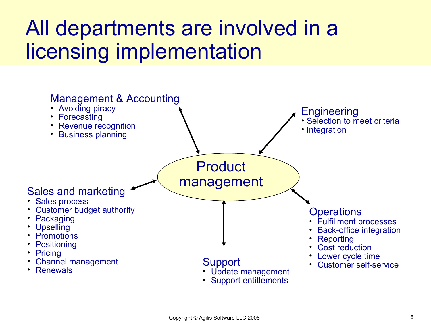### All departments are involved in a licensing implementation